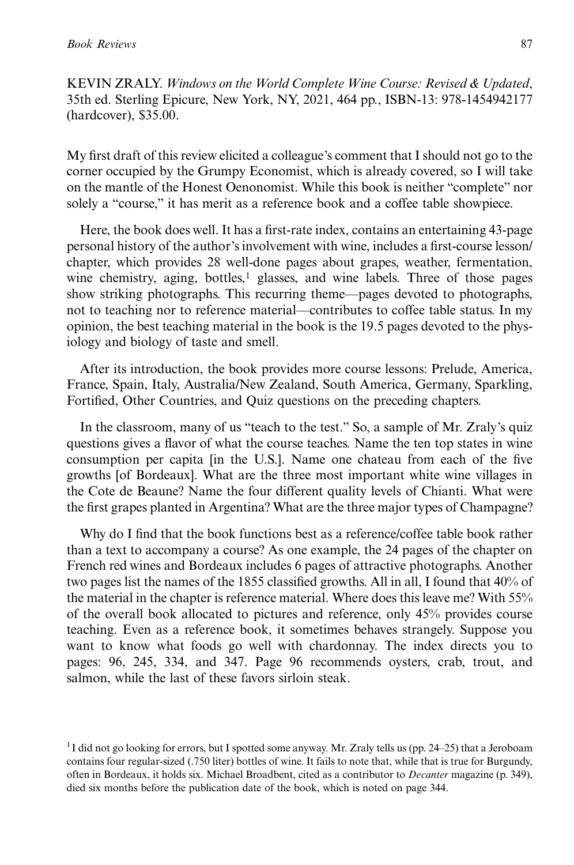KEVIN ZRALY. Windows on the World Complete Wine Course: Revised & Updated, 35th ed. Sterling Epicure, New York, NY, 2021, 464 pp., ISBN-13: 978-1454942177 (hardcover), \$35.00.

My first draft of this review elicited a colleague's comment that I should not go to the corner occupied by the Grumpy Economist, which is already covered, so I will take on the mantle of the Honest Oenonomist. While this book is neither "complete" nor solely a "course," it has merit as a reference book and a coffee table showpiece.

Here, the book does well. It has a first-rate index, contains an entertaining 43-page personal history of the author's involvement with wine, includes a first-course lesson/ chapter, which provides 28 well-done pages about grapes, weather, fermentation, wine chemistry, aging, bottles, $<sup>1</sup>$  glasses, and wine labels. Three of those pages</sup> show striking photographs. This recurring theme—pages devoted to photographs, not to teaching nor to reference material—contributes to coffee table status. In my opinion, the best teaching material in the book is the 19.5 pages devoted to the physiology and biology of taste and smell.

After its introduction, the book provides more course lessons: Prelude, America, France, Spain, Italy, Australia/New Zealand, South America, Germany, Sparkling, Fortified, Other Countries, and Quiz questions on the preceding chapters.

In the classroom, many of us "teach to the test." So, a sample of Mr. Zraly's quiz questions gives a flavor of what the course teaches. Name the ten top states in wine consumption per capita [in the U.S.]. Name one chateau from each of the five growths [of Bordeaux]. What are the three most important white wine villages in the Cote de Beaune? Name the four different quality levels of Chianti. What were the first grapes planted in Argentina? What are the three major types of Champagne?

Why do I find that the book functions best as a reference/coffee table book rather than a text to accompany a course? As one example, the 24 pages of the chapter on French red wines and Bordeaux includes 6 pages of attractive photographs. Another two pages list the names of the 1855 classified growths. All in all, I found that 40% of the material in the chapter is reference material. Where does this leave me? With 55% of the overall book allocated to pictures and reference, only 45% provides course teaching. Even as a reference book, it sometimes behaves strangely. Suppose you want to know what foods go well with chardonnay. The index directs you to pages: 96, 245, 334, and 347. Page 96 recommends oysters, crab, trout, and salmon, while the last of these favors sirloin steak.

 $1$ I did not go looking for errors, but I spotted some anyway. Mr. Zraly tells us (pp. 24–25) that a Jeroboam contains four regular-sized (.750 liter) bottles of wine. It fails to note that, while that is true for Burgundy, often in Bordeaux, it holds six. Michael Broadbent, cited as a contributor to Decanter magazine (p. 349), died six months before the publication date of the book, which is noted on page 344.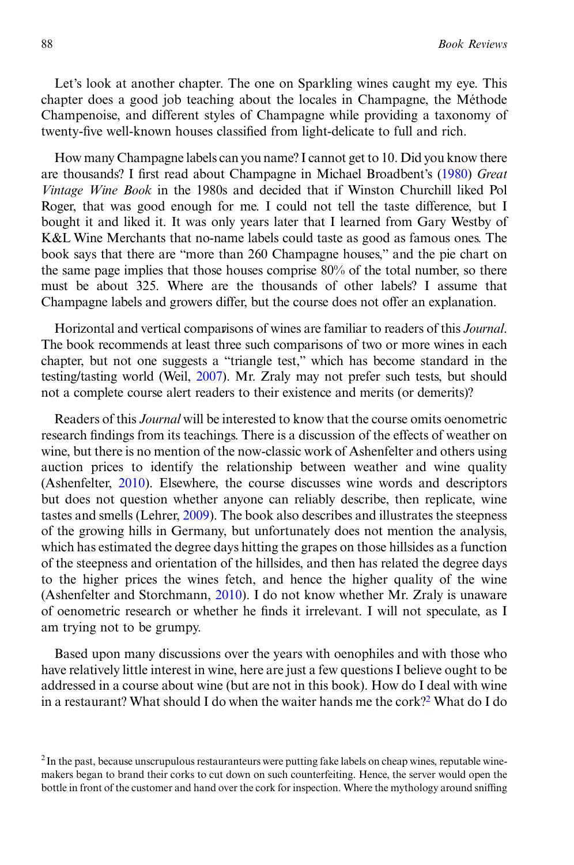Let's look at another chapter. The one on Sparkling wines caught my eye. This chapter does a good job teaching about the locales in Champagne, the Méthode Champenoise, and different styles of Champagne while providing a taxonomy of twenty-five well-known houses classified from light-delicate to full and rich.

How many Champagne labels can you name? I cannot get to 10. Did you know there are thousands? I first read about Champagne in Michael Broadbent's (1980) Great Vintage Wine Book in the 1980s and decided that if Winston Churchill liked Pol Roger, that was good enough for me. I could not tell the taste difference, but I bought it and liked it. It was only years later that I learned from Gary Westby of K&L Wine Merchants that no-name labels could taste as good as famous ones. The book says that there are "more than 260 Champagne houses," and the pie chart on the same page implies that those houses comprise 80% of the total number, so there must be about 325. Where are the thousands of other labels? I assume that Champagne labels and growers differ, but the course does not offer an explanation.

Horizontal and vertical comparisons of wines are familiar to readers of this Journal. The book recommends at least three such comparisons of two or more wines in each chapter, but not one suggests a "triangle test," which has become standard in the testing/tasting world (Weil, 2007). Mr. Zraly may not prefer such tests, but should not a complete course alert readers to their existence and merits (or demerits)?

Readers of this Journal will be interested to know that the course omits oenometric research findings from its teachings. There is a discussion of the effects of weather on wine, but there is no mention of the now-classic work of Ashenfelter and others using auction prices to identify the relationship between weather and wine quality (Ashenfelter, 2010). Elsewhere, the course discusses wine words and descriptors but does not question whether anyone can reliably describe, then replicate, wine tastes and smells (Lehrer, 2009). The book also describes and illustrates the steepness of the growing hills in Germany, but unfortunately does not mention the analysis, which has estimated the degree days hitting the grapes on those hillsides as a function of the steepness and orientation of the hillsides, and then has related the degree days to the higher prices the wines fetch, and hence the higher quality of the wine (Ashenfelter and Storchmann, 2010). I do not know whether Mr. Zraly is unaware of oenometric research or whether he finds it irrelevant. I will not speculate, as I am trying not to be grumpy.

Based upon many discussions over the years with oenophiles and with those who have relatively little interest in wine, here are just a few questions I believe ought to be addressed in a course about wine (but are not in this book). How do I deal with wine in a restaurant? What should I do when the waiter hands me the cork?<sup>2</sup> What do I do

<sup>&</sup>lt;sup>2</sup> In the past, because unscrupulous restauranteurs were putting fake labels on cheap wines, reputable winemakers began to brand their corks to cut down on such counterfeiting. Hence, the server would open the bottle in front of the customer and hand over the cork for inspection. Where the mythology around sniffing